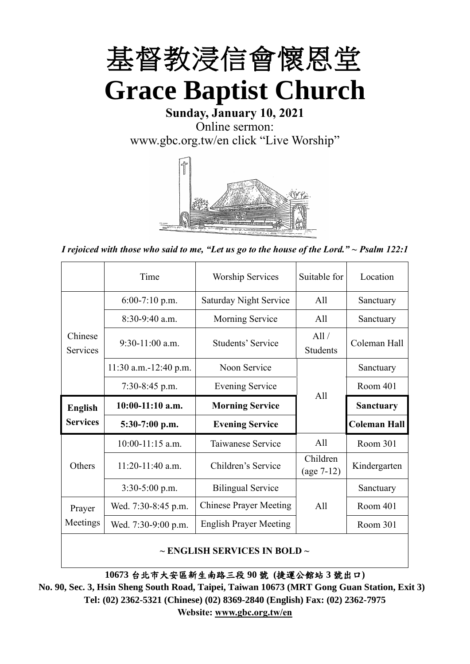

**Sunday, January 10, 2021** Online sermon: [www.gbc.org.tw/en](http://www.gbc.org.tw/en) click "Live Worship"



*I rejoiced with those who said to me, "Let us go to the house of the Lord." ~ Psalm 122:1*

|                                                 | Time                  | <b>Worship Services</b>       | Suitable for             | Location            |
|-------------------------------------------------|-----------------------|-------------------------------|--------------------------|---------------------|
|                                                 | $6:00-7:10$ p.m.      | <b>Saturday Night Service</b> | All                      | Sanctuary           |
|                                                 | $8:30-9:40$ a.m.      | Morning Service               | All                      | Sanctuary           |
| Chinese<br>$9:30-11:00$ a.m.<br><b>Services</b> |                       | Students' Service             | All /<br><b>Students</b> | Coleman Hall        |
|                                                 | 11:30 a.m.-12:40 p.m. | Noon Service                  |                          | Sanctuary           |
|                                                 | $7:30-8:45$ p.m.      | <b>Evening Service</b>        | All                      | Room 401            |
|                                                 |                       |                               |                          |                     |
| <b>English</b>                                  | $10:00-11:10$ a.m.    | <b>Morning Service</b>        |                          | <b>Sanctuary</b>    |
| <b>Services</b>                                 | $5:30-7:00$ p.m.      | <b>Evening Service</b>        |                          | <b>Coleman Hall</b> |
|                                                 | $10:00-11:15$ a.m.    | Taiwanese Service             | All                      | Room 301            |
| Others                                          | $11:20-11:40$ a.m.    | Children's Service            | Children<br>$(age 7-12)$ | Kindergarten        |
|                                                 | $3:30-5:00$ p.m.      | <b>Bilingual Service</b>      |                          | Sanctuary           |
| Prayer                                          | Wed. 7:30-8:45 p.m.   | <b>Chinese Prayer Meeting</b> | A11                      | Room 401            |
| Meetings                                        | Wed. 7:30-9:00 p.m.   | <b>English Prayer Meeting</b> |                          | Room 301            |

#### **~ ENGLISH SERVICES IN BOLD ~**

**10673** 台北市大安區新生南路三段 **90** 號 **(**捷運公館站 **3** 號出口**)**

**No. 90, Sec. 3, Hsin Sheng South Road, Taipei, Taiwan 10673 (MRT Gong Guan Station, Exit 3) Tel: (02) 2362-5321 (Chinese) (02) 8369-2840 (English) Fax: (02) 2362-7975 Website: [www.gbc.org.tw/en](http://www.gbc.org.tw/en)**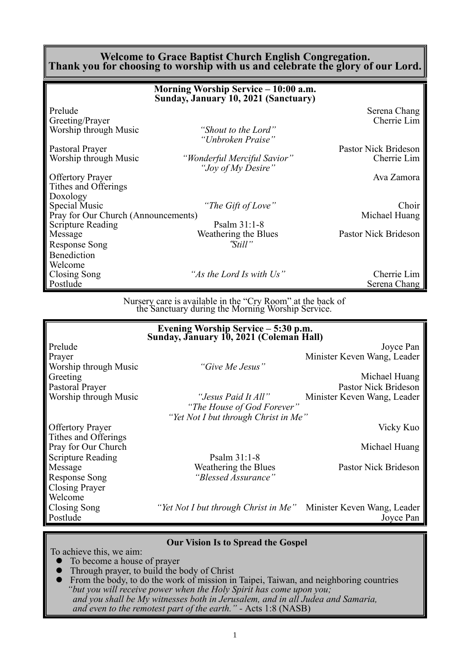#### **Welcome to Grace Baptist Church English Congregation. Thank you for choosing to worship with us and celebrate the glory of our Lord.**

|                                     | Morning Worship Service – 10:00 a.m.<br>Sunday, January 10, 2021 (Sanctuary) |                      |
|-------------------------------------|------------------------------------------------------------------------------|----------------------|
| Prelude                             |                                                                              | Serena Chang         |
| Greeting/Prayer                     |                                                                              | Cherrie Lim          |
| Worship through Music               | "Shout to the Lord"<br>"Unbroken Praise"                                     |                      |
| Pastoral Prayer                     |                                                                              | Pastor Nick Brideson |
| Worship through Music               | "Wonderful Merciful Savior"<br>"Joy of My Desire"                            | Cherrie Lim          |
| <b>Offertory Prayer</b>             |                                                                              | Ava Zamora           |
| Tithes and Offerings                |                                                                              |                      |
| Doxology                            |                                                                              |                      |
| Special Music                       | "The Gift of Love"                                                           | Choir                |
| Pray for Our Church (Announcements) |                                                                              | Michael Huang        |
| <b>Scripture Reading</b>            | Psalm $31:1-8$                                                               |                      |
| Message                             | Weathering the Blues                                                         | Pastor Nick Brideson |
| Response Song                       | "Still"                                                                      |                      |
| Benediction                         |                                                                              |                      |
| Welcome                             |                                                                              |                      |
| Closing Song                        | "As the Lord Is with Us"                                                     | Cherrie Lim          |
| Postlude                            |                                                                              | Serena Chang         |

Nursery care is available in the "Cry Room" at the back of the Sanctuary during the Morning Worship Service.

|                          | Evening Worship Service – 5:30 p.m.<br>Sunday, January 10, 2021 (Coleman Hall) |                             |
|--------------------------|--------------------------------------------------------------------------------|-----------------------------|
| Prelude                  |                                                                                | Joyce Pan                   |
| Prayer                   |                                                                                | Minister Keven Wang, Leader |
| Worship through Music    | "Give Me Jesus"                                                                |                             |
| Greeting                 |                                                                                | Michael Huang               |
| Pastoral Prayer          |                                                                                | Pastor Nick Brideson        |
| Worship through Music    | "Jesus Paid It All"                                                            | Minister Keven Wang, Leader |
|                          | "The House of God Forever"                                                     |                             |
|                          | "Yet Not I but through Christ in Me"                                           |                             |
| <b>Offertory Prayer</b>  |                                                                                | Vicky Kuo                   |
| Tithes and Offerings     |                                                                                |                             |
| Pray for Our Church      |                                                                                | Michael Huang               |
| <b>Scripture Reading</b> | Psalm $31:1-8$                                                                 |                             |
| Message                  | Weathering the Blues                                                           | Pastor Nick Brideson        |
| <b>Response Song</b>     | "Blessed Assurance"                                                            |                             |
| <b>Closing Prayer</b>    |                                                                                |                             |
| Welcome                  |                                                                                |                             |
| Closing Song             | "Yet Not I but through Christ in Me" Minister Keven Wang, Leader               |                             |
| Postlude                 |                                                                                | Joyce Pan                   |
|                          |                                                                                |                             |

#### **Our Vision Is to Spread the Gospel**

To achieve this, we aim:

- ⚫ To become a house of prayer
- Through prayer, to build the body of Christ
- ⚫ From the body, to do the work of mission in Taipei, Taiwan, and neighboring countries *"but you will receive power when the Holy Spirit has come upon you; and you shall be My witnesses both in Jerusalem, and in all Judea and Samaria, and even to the remotest part of the earth." -* Acts 1:8 (NASB)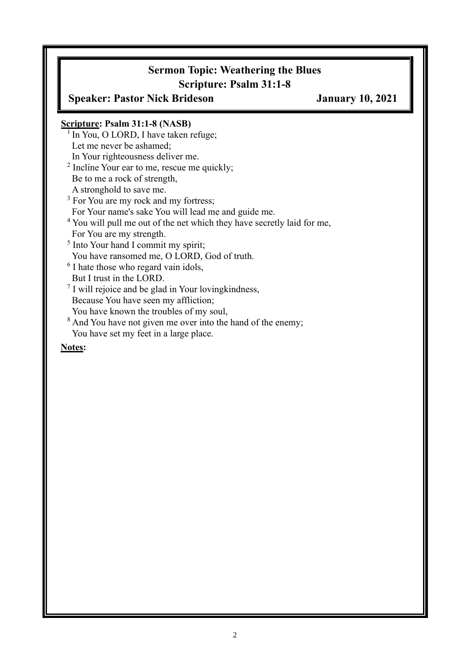# **Sermon Topic: Weathering the Blues Scripture: Psalm 31:1-8**

**Speaker: Pastor Nick Brideson January 10, 2021**

### **Scripture: Psalm 31:1-8 (NASB)**

- $\frac{1}{1}$  In You, O LORD, I have taken refuge; Let me never be ashamed;
- In Your righteousness deliver me.
- <sup>2</sup> Incline Your ear to me, rescue me quickly;
- Be to me a rock of strength,
- A stronghold to save me.
- <sup>3</sup> For You are my rock and my fortress;
- For Your name's sake You will lead me and guide me.
- <sup>4</sup> You will pull me out of the net which they have secretly laid for me,
- For You are my strength.
- <sup>5</sup> Into Your hand I commit my spirit;
- You have ransomed me, O LORD, God of truth.
- <sup>6</sup> I hate those who regard vain idols,
- But I trust in the LORD.
- 7 I will rejoice and be glad in Your lovingkindness, Because You have seen my affliction;
- You have known the troubles of my soul,
- <sup>8</sup> And You have not given me over into the hand of the enemy; You have set my feet in a large place.

#### **Notes:**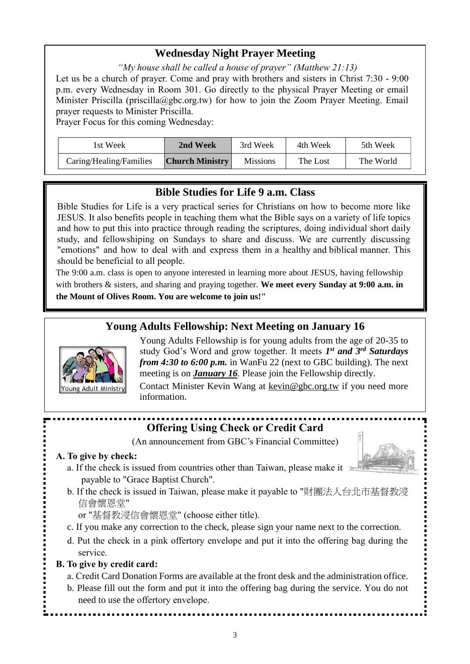### **Wednesday Night Prayer Meeting**

*"My house shall be called a house of prayer" (Matthew 21:13)* Let us be a church of prayer. Come and pray with brothers and sisters in Christ 7:30 - 9:00 p.m. every Wednesday in Room 301. Go directly to the physical Prayer Meeting or email Minister Priscilla (priscilla@gbc.org.tw) for how to join the Zoom Prayer Meeting. Email

prayer requests to Minister Priscilla.

Prayer Focus for this coming Wednesday:

| 1st Week                | 2nd Week               | 3rd Week        | 4th Week | 5th Week  |
|-------------------------|------------------------|-----------------|----------|-----------|
| Caring/Healing/Families | <b>Church Ministry</b> | <b>Missions</b> | The Lost | The World |

### **Bible Studies for Life 9 a.m. Class**

Bible Studies for Life is a very practical series for Christians on how to become more like JESUS. It also benefits people in teaching them what the Bible says on a variety of life topics and how to put this into practice through reading the scriptures, doing individual short daily study, and fellowshiping on Sundays to share and discuss. We are currently discussing "emotions" and how to deal with and express them in a healthy and biblical manner. This should be beneficial to all people.

The 9:00 a.m. class is open to anyone interested in learning more about JESUS, having fellowship with brothers & sisters, and sharing and praying together. **We meet every Sunday at 9:00 a.m. in the Mount of Olives Room. You are welcome to join us!"**

### **Young Adults Fellowship: Next Meeting on January 16**



Young Adults Fellowship is for young adults from the age of 20-35 to study God's Word and grow together. It meets *1 st and 3rd Saturdays from 4:30 to 6:00 p.m.* in WanFu 22 (next to GBC building). The next meeting is on *January 16.* Please join the Fellowship directly. Contact Minister Kevin Wang at kevin@gbc.org.tw if you need more information.

# **Offering Using Check or Credit Card**

(An announcement from GBC's Financial Committee)

#### **A. To give by check:**

- a. If the check is issued from countries other than Taiwan, please make it payable to "Grace Baptist Church".
- b. If the check is issued in Taiwan, please make it payable to "財團法人台北市基督教浸 信會懷恩堂"

or "基督教浸信會懷恩堂" (choose either title).

- c. If you make any correction to the check, please sign your name next to the correction.
- d. Put the check in a pink offertory envelope and put it into the offering bag during the service.

### **B. To give by credit card:**

- a. Credit Card Donation Forms are available at the front desk and the administration office.
- b. Please fill out the form and put it into the offering bag during the service. You do not need to use the offertory envelope.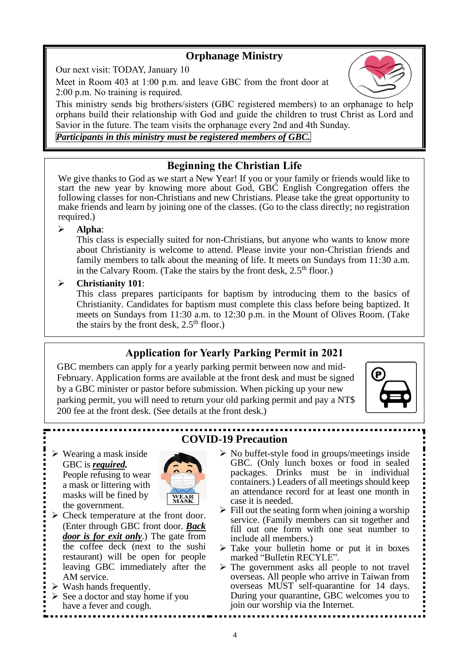# **Orphanage Ministry**

Our next visit: TODAY, January 10

Meet in Room 403 at 1:00 p.m. and leave GBC from the front door at 2:00 p.m. No training is required.

This ministry sends big brothers/sisters (GBC registered members) to an orphanage to help orphans build their relationship with God and guide the children to trust Christ as Lord and Savior in the future. The team visits the orphanage every 2nd and 4th Sunday.

### *Participants in this ministry must be registered members of GBC.*

# **Beginning the Christian Life**

We give thanks to God as we start a New Year! If you or your family or friends would like to start the new year by knowing more about God, GBC English Congregation offers the following classes for non-Christians and new Christians. Please take the great opportunity to make friends and learn by joining one of the classes. (Go to the class directly; no registration required.)

### ➢ **Alpha**:

This class is especially suited for non-Christians, but anyone who wants to know more about Christianity is welcome to attend. Please invite your non-Christian friends and family members to talk about the meaning of life. It meets on Sundays from 11:30 a.m. in the Calvary Room. (Take the stairs by the front desk,  $2.5<sup>th</sup>$  floor.)

### ➢ **Christianity 101**:

This class prepares participants for baptism by introducing them to the basics of Christianity. Candidates for baptism must complete this class before being baptized. It meets on Sundays from 11:30 a.m. to 12:30 p.m. in the Mount of Olives Room. (Take the stairs by the front desk,  $2.5<sup>th</sup>$  floor.)

# **Application for Yearly Parking Permit in 2021**

GBC members can apply for a yearly parking permit between now and mid-February. Application forms are available at the front desk and must be signed by a GBC minister or pastor before submission. When picking up your new parking permit, you will need to return your old parking permit and pay a NT\$ 200 fee at the front desk. (See details at the front desk.)



#### ➢ Wearing a mask inside GBC is *required.* People refusing to wear a mask or littering with masks will be fined by the government.



- ➢ Check temperature at the front door. (Enter through GBC front door. *Back door is for exit only*.) The gate from the coffee deck (next to the sushi restaurant) will be open for people leaving GBC immediately after the AM service.
- $\triangleright$  Wash hands frequently.
- $\triangleright$  See a doctor and stay home if you have a fever and cough.

# **COVID-19 Precaution**

- $\triangleright$  No buffet-style food in groups/meetings inside GBC. (Only lunch boxes or food in sealed packages. Drinks must be in individual containers.) Leaders of all meetings should keep an attendance record for at least one month in case it is needed.
- $\triangleright$  Fill out the seating form when joining a worship service. (Family members can sit together and fill out one form with one seat number to include all members.)
- $\triangleright$  Take your bulletin home or put it in boxes marked "Bulletin RECYLE".
- ➢ The government asks all people to not travel overseas. All people who arrive in Taiwan from overseas MUST self-quarantine for 14 days. During your quarantine, GBC welcomes you to join our worship via the Internet.

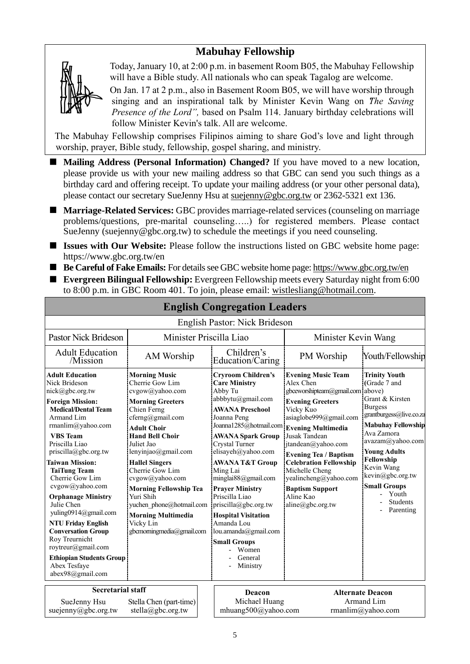### **Mabuhay Fellowship**



Today, January 10, at 2:00 p.m. in basement Room B05, the Mabuhay Fellowship will have a Bible study. All nationals who can speak Tagalog are welcome.

On Jan. 17 at 2 p.m., also in Basement Room B05, we will have worship through singing and an inspirational talk by Minister Kevin Wang on *"The Saving Presence of the Lord"*, based on Psalm 114. January birthday celebrations will follow Minister Kevin's talk. All are welcome.

The Mabuhay Fellowship comprises Filipinos aiming to share God's love and light through worship, prayer, Bible study, fellowship, gospel sharing, and ministry.

- Mailing Address (Personal Information) Changed? If you have moved to a new location, please provide us with your new mailing address so that GBC can send you such things as a birthday card and offering receipt. To update your mailing address (or your other personal data), please contact our secretary SueJenny Hsu at [suejenny@gbc.org.tw](mailto:suejenny@gbc.org.tw) or 2362-5321 ext 136.
- **Marriage-Related Services:** GBC provides marriage-related services (counseling on marriage problems/questions, pre-marital counseling…..) for registered members. Please contact SueJenny (suejenny@gbc.org.tw) to schedule the meetings if you need counseling.
- **Issues with Our Website:** Please follow the instructions listed on GBC website home page: https://www.gbc.org.tw/en
- Be Careful of Fake Emails: For details see GBC website home page[: https://www.gbc.org.tw/en](https://www.gbc.org.tw/en)
- **Evergreen Bilingual Fellowship:** Evergreen Fellowship meets every Saturday night from 6:00 to 8:00 p.m. in GBC Room 401. To join, please email: [wistlesliang@hotmail.com.](mailto:wistlesliang@hotmail.com)

| English Pastor: Nick Brideson                                                                                                                                                                                                                                                                                                                                                                                                                                                                                                                          |                                                                                                                                                                                                                                                                                                                                                                                                                               |                                                                                                                                                                                                                                                                                                                                                                                                                                                                                          |                                                                                                                                                                                                                                                                                                                                                                                  |                                                                                                                                                                                                                                                                                                                      |  |
|--------------------------------------------------------------------------------------------------------------------------------------------------------------------------------------------------------------------------------------------------------------------------------------------------------------------------------------------------------------------------------------------------------------------------------------------------------------------------------------------------------------------------------------------------------|-------------------------------------------------------------------------------------------------------------------------------------------------------------------------------------------------------------------------------------------------------------------------------------------------------------------------------------------------------------------------------------------------------------------------------|------------------------------------------------------------------------------------------------------------------------------------------------------------------------------------------------------------------------------------------------------------------------------------------------------------------------------------------------------------------------------------------------------------------------------------------------------------------------------------------|----------------------------------------------------------------------------------------------------------------------------------------------------------------------------------------------------------------------------------------------------------------------------------------------------------------------------------------------------------------------------------|----------------------------------------------------------------------------------------------------------------------------------------------------------------------------------------------------------------------------------------------------------------------------------------------------------------------|--|
|                                                                                                                                                                                                                                                                                                                                                                                                                                                                                                                                                        |                                                                                                                                                                                                                                                                                                                                                                                                                               |                                                                                                                                                                                                                                                                                                                                                                                                                                                                                          |                                                                                                                                                                                                                                                                                                                                                                                  |                                                                                                                                                                                                                                                                                                                      |  |
| <b>Pastor Nick Brideson</b>                                                                                                                                                                                                                                                                                                                                                                                                                                                                                                                            |                                                                                                                                                                                                                                                                                                                                                                                                                               | Minister Priscilla Liao                                                                                                                                                                                                                                                                                                                                                                                                                                                                  | Minister Kevin Wang                                                                                                                                                                                                                                                                                                                                                              |                                                                                                                                                                                                                                                                                                                      |  |
| <b>Adult Education</b><br>/Mission                                                                                                                                                                                                                                                                                                                                                                                                                                                                                                                     | AM Worship                                                                                                                                                                                                                                                                                                                                                                                                                    | Children's<br>Education/Caring                                                                                                                                                                                                                                                                                                                                                                                                                                                           | PM Worship                                                                                                                                                                                                                                                                                                                                                                       | Youth/Fellowship                                                                                                                                                                                                                                                                                                     |  |
| <b>Adult Education</b><br>Nick Brideson<br>nick@gbc.org.tw<br><b>Foreign Mission:</b><br><b>Medical/Dental Team</b><br>Armand Lim<br>rmanlim@yahoo.com<br><b>VBS</b> Team<br>Priscilla Liao<br>priscilla@gbc.org.tw<br><b>Taiwan Mission:</b><br><b>TaiTung Team</b><br>Cherrie Gow Lim<br>cvgow@yahoo.com<br><b>Orphanage Ministry</b><br>Julie Chen<br>yuling0914@gmail.com<br><b>NTU Friday English</b><br><b>Conversation Group</b><br>Roy Treurnicht<br>roytreur@gmail.com<br><b>Ethiopian Students Group</b><br>Abex Tesfaye<br>abex98@gmail.com | <b>Morning Music</b><br>Cherrie Gow Lim<br>cvgow@yahoo.com<br><b>Morning Greeters</b><br>Chien Ferng<br>cferng@gmail.com<br><b>Adult Choir</b><br><b>Hand Bell Choir</b><br>Juliet Jao<br>lenyinjao@gmail.com<br><b>Hallel Singers</b><br>Cherrie Gow Lim<br>cvgow@yahoo.com<br><b>Morning Fellowship Tea</b><br>Yuri Shih<br>yuchen phone@hotmail.com<br><b>Morning Multimedia</b><br>Vicky Lin<br>gbcmorningmedia@gmail.com | <b>Cryroom Children's</b><br><b>Care Ministry</b><br>Abby Tu<br>abbbytu@gmail.com<br><b>AWANA Preschool</b><br>Joanna Peng<br>Joanna1285@hotmail.com<br><b>AWANA Spark Group</b><br>Crystal Turner<br>elisayeh@yahoo.com<br><b>AWANA T&amp;T Group</b><br>Ming Lai<br>minglai88@gmail.com<br><b>Prayer Ministry</b><br>Priscilla Liao<br>priscilla@gbc.org.tw<br><b>Hospital Visitation</b><br>Amanda Lou<br>lou.amanda@gmail.com<br><b>Small Groups</b><br>Women<br>General<br>Ministry | <b>Evening Music Team</b><br>Alex Chen<br>gbceworshipteam@gmail.com<br><b>Evening Greeters</b><br>Vicky Kuo<br>asiaglobe999@gmail.com<br><b>Evening Multimedia</b><br>Jusak Tandean<br>itandean@yahoo.com<br><b>Evening Tea / Baptism</b><br><b>Celebration Fellowship</b><br>Michelle Cheng<br>yealincheng@yahoo.com<br><b>Baptism Support</b><br>Aline Kao<br>aline@gbc.org.tw | <b>Trinity Youth</b><br>(Grade 7 and<br>above)<br>Grant & Kirsten<br><b>Burgess</b><br>grantburgess@live.co.za<br><b>Mabuhay Fellowship</b><br>Ava Zamora<br>avazam@yahoo.com<br><b>Young Adults</b><br>Fellowship<br>Kevin Wang<br>kevin@gbc.org.tw<br><b>Small Groups</b><br>Youth<br><b>Students</b><br>Parenting |  |
| <b>Secretarial staff</b>                                                                                                                                                                                                                                                                                                                                                                                                                                                                                                                               |                                                                                                                                                                                                                                                                                                                                                                                                                               | Deacon                                                                                                                                                                                                                                                                                                                                                                                                                                                                                   | <b>Alternate Deacon</b>                                                                                                                                                                                                                                                                                                                                                          |                                                                                                                                                                                                                                                                                                                      |  |
| Stella Chen (part-time)<br>SueJenny Hsu<br>suejenny@gbc.org.tw<br>stella@gbc.org.tw                                                                                                                                                                                                                                                                                                                                                                                                                                                                    |                                                                                                                                                                                                                                                                                                                                                                                                                               |                                                                                                                                                                                                                                                                                                                                                                                                                                                                                          | Michael Huang<br>Armand Lim<br>mhuang500@yahoo.com<br>rmanlim@yahoo.com                                                                                                                                                                                                                                                                                                          |                                                                                                                                                                                                                                                                                                                      |  |

# **English Congregation Leaders**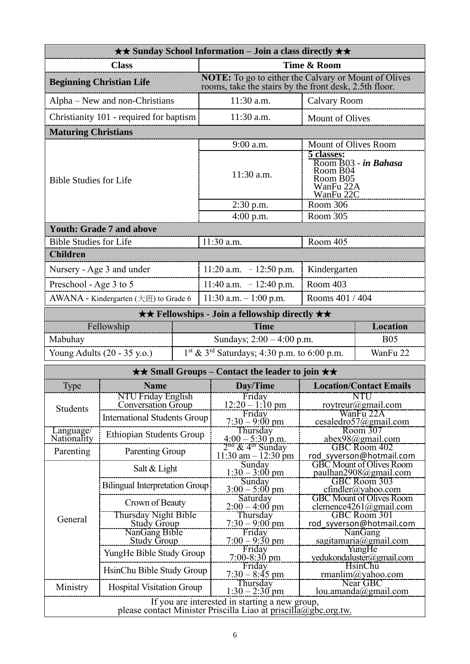|                                 |                                                  |  | <b>★★ Sunday School Information – Join a class directly ★★</b>                                                        |                                                                                      |                                                           |  |
|---------------------------------|--------------------------------------------------|--|-----------------------------------------------------------------------------------------------------------------------|--------------------------------------------------------------------------------------|-----------------------------------------------------------|--|
| <b>Class</b>                    |                                                  |  | Time & Room                                                                                                           |                                                                                      |                                                           |  |
| <b>Beginning Christian Life</b> |                                                  |  | <b>NOTE:</b> To go to either the Calvary or Mount of Olives<br>rooms, take the stairs by the front desk, 2.5th floor. |                                                                                      |                                                           |  |
| Alpha – New and non-Christians  |                                                  |  | 11:30 a.m.                                                                                                            | <b>Calvary Room</b>                                                                  |                                                           |  |
|                                 | Christianity 101 - required for baptism          |  | 11:30 a.m.                                                                                                            | Mount of Olives                                                                      |                                                           |  |
| <b>Maturing Christians</b>      |                                                  |  |                                                                                                                       |                                                                                      |                                                           |  |
|                                 |                                                  |  | Mount of Olives Room<br>9:00 a.m.                                                                                     |                                                                                      |                                                           |  |
| <b>Bible Studies for Life</b>   |                                                  |  | 11:30 a.m.                                                                                                            | 5 classes:<br>Room B03 - in Bahasa<br>Room B04<br>Room B05<br>WanFu 22A<br>WanFu 22C |                                                           |  |
|                                 |                                                  |  | $2:30$ p.m.                                                                                                           | Room 306                                                                             |                                                           |  |
|                                 | <b>Youth: Grade 7 and above</b>                  |  | $4:00$ p.m.                                                                                                           | Room 305                                                                             |                                                           |  |
| <b>Bible Studies for Life</b>   |                                                  |  | 11:30 a.m.                                                                                                            | Room 405                                                                             |                                                           |  |
| <b>Children</b>                 |                                                  |  |                                                                                                                       |                                                                                      |                                                           |  |
|                                 | Nursery - Age 3 and under                        |  | 11:20 a.m. $-12:50$ p.m.                                                                                              | Kindergarten                                                                         |                                                           |  |
| Preschool - Age 3 to 5          |                                                  |  | 11:40 a.m. $-12:40$ p.m.                                                                                              | Room 403                                                                             |                                                           |  |
|                                 | AWANA - Kindergarten $(\pm \text{H})$ to Grade 6 |  | $11:30$ a.m. $-1:00$ p.m.                                                                                             | Rooms 401 / 404                                                                      |                                                           |  |
|                                 |                                                  |  | <b>★★ Fellowships - Join a fellowship directly ★★</b>                                                                 |                                                                                      |                                                           |  |
|                                 | Fellowship                                       |  | <b>Time</b>                                                                                                           |                                                                                      | <b>Location</b>                                           |  |
| Mabuhay                         |                                                  |  | Sundays; $2:00 - 4:00$ p.m.                                                                                           |                                                                                      | <b>B05</b>                                                |  |
|                                 | Young Adults (20 - 35 y.o.)                      |  | $1^{st}$ & $3^{rd}$ Saturdays; 4:30 p.m. to 6:00 p.m.                                                                 |                                                                                      | WanFu 22                                                  |  |
|                                 |                                                  |  | $\star\star$ Small Groups – Contact the leader to join $\star\star$                                                   |                                                                                      |                                                           |  |
| Type                            | <b>Name</b>                                      |  | Day/Time                                                                                                              | <b>Location/Contact Emails</b>                                                       |                                                           |  |
|                                 | NTU Friday English<br><b>Conversation Group</b>  |  | Friday<br>$12:20 - 1:10$ pm                                                                                           |                                                                                      | NTU<br>roytreur@gmail.com                                 |  |
| Students                        | <b>International Students Group</b>              |  | Friday<br>$7:30 - 9:00 \text{ pm}$                                                                                    | WanFu 22A<br>cesaledro57@gmail.com                                                   |                                                           |  |
| Language/                       | Ethiopian Students Group                         |  | Thursday                                                                                                              | Room 307                                                                             |                                                           |  |
| Nationality<br>Parenting        | <b>Parenting Group</b>                           |  | $4:00 - 5:30$ p.m.<br>2 <sup>nă</sup> & 4 <sup>m</sup> Sunday                                                         | abex98@gmail.com<br>GBC Room 402                                                     |                                                           |  |
|                                 |                                                  |  | $11:30$ am $-12:30$ pm<br>Sunday                                                                                      | rod_syverson@hotmail.com<br><b>GBC</b> Mount of Olives Room                          |                                                           |  |
|                                 | Salt & Light                                     |  | $1:30 - 3:00 \text{ pm}$                                                                                              |                                                                                      | paulhan2908@gmail.com                                     |  |
|                                 | <b>Bilingual Interpretation Group</b>            |  | Sunday<br>$3:00 - 5:00$ pm                                                                                            |                                                                                      | <b>GBC Room 303</b><br>$cfindler(a)$ yahoo.com            |  |
|                                 | Crown of Beauty                                  |  | Saturday<br>$2:00 - 4:00$ pm                                                                                          |                                                                                      | <b>GBC Mount of Olives Room</b><br>clemence4261@gmail.com |  |
| General                         | Thursday Night Bible<br><b>Study Group</b>       |  | Thursday<br>$7:30 - 9:00$ pm                                                                                          |                                                                                      | GBC Room 301<br>rod syverson@hotmail.com                  |  |
|                                 | NanGang Bible                                    |  | Friday                                                                                                                |                                                                                      | <b>NanGang</b>                                            |  |
|                                 | <b>Study Group</b><br>YungHe Bible Study Group   |  | $7:00-9:30$ pm<br>Friday                                                                                              |                                                                                      | sagitamaria@gmail.com<br>YungHe                           |  |
|                                 | HsinChu Bible Study Group                        |  | $7:00 - 8:30$ pm<br>Friday                                                                                            | yedukondaluster@gmail.com<br>HsinChu                                                 |                                                           |  |
|                                 |                                                  |  | $7:30 - 8:45$ pm<br>Thursday                                                                                          |                                                                                      | rmanlim@yahoo.com<br>Near GBC                             |  |
| Ministry                        | <b>Hospital Visitation Group</b>                 |  | $1:30 - 2:30$ pm                                                                                                      | lou. amanda@gmail.com                                                                |                                                           |  |
|                                 |                                                  |  | If you are interested in starting a new group,<br>please contact Minister Priscilla Liao at priscilla@gbc.org.tw.     |                                                                                      |                                                           |  |